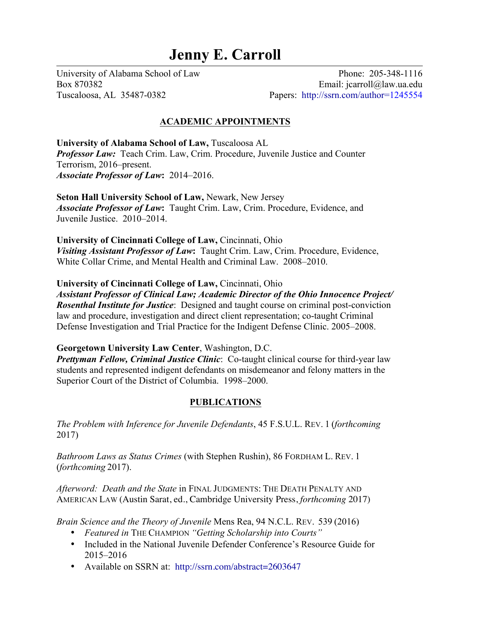# **Jenny E. Carroll**

University of Alabama School of Law Phone: 205-348-1116 Box 870382 Email: jcarroll@law.ua.edu Tuscaloosa, AL 35487-0382 Papers: http://ssrn.com/author=1245554

# **ACADEMIC APPOINTMENTS**

**University of Alabama School of Law,** Tuscaloosa AL *Professor Law:* Teach Crim. Law, Crim. Procedure, Juvenile Justice and Counter Terrorism, 2016–present. *Associate Professor of Law***:** 2014–2016.

**Seton Hall University School of Law,** Newark, New Jersey *Associate Professor of Law***:** Taught Crim. Law, Crim. Procedure, Evidence, and Juvenile Justice. 2010–2014.

**University of Cincinnati College of Law,** Cincinnati, Ohio *Visiting Assistant Professor of Law***:** Taught Crim. Law, Crim. Procedure, Evidence, White Collar Crime, and Mental Health and Criminal Law. 2008–2010.

**University of Cincinnati College of Law,** Cincinnati, Ohio

*Assistant Professor of Clinical Law; Academic Director of the Ohio Innocence Project/ Rosenthal Institute for Justice*: Designed and taught course on criminal post-conviction law and procedure, investigation and direct client representation; co-taught Criminal Defense Investigation and Trial Practice for the Indigent Defense Clinic. 2005–2008.

## **Georgetown University Law Center**, Washington, D.C.

*Prettyman Fellow, Criminal Justice Clinic*: Co-taught clinical course for third-year law students and represented indigent defendants on misdemeanor and felony matters in the Superior Court of the District of Columbia. 1998–2000.

# **PUBLICATIONS**

*The Problem with Inference for Juvenile Defendants*, 45 F.S.U.L. REV. 1 (*forthcoming* 2017)

*Bathroom Laws as Status Crimes* (with Stephen Rushin), 86 FORDHAM L. REV. 1 (*forthcoming* 2017).

*Afterword: Death and the State* in FINAL JUDGMENTS: THE DEATH PENALTY AND AMERICAN LAW (Austin Sarat, ed., Cambridge University Press, *forthcoming* 2017)

*Brain Science and the Theory of Juvenile* Mens Rea, 94 N.C.L. REV. 539 (2016)

- *Featured in* THE CHAMPION *"Getting Scholarship into Courts"*
- Included in the National Juvenile Defender Conference's Resource Guide for 2015–2016
- Available on SSRN at: http://ssrn.com/abstract=2603647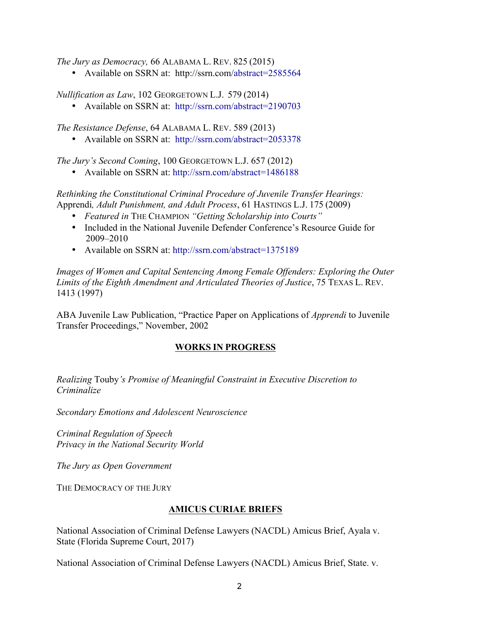*The Jury as Democracy,* 66 ALABAMA L. REV. 825 (2015)

• Available on SSRN at: http://ssrn.com/abstract=2585564

*Nullification as Law*, 102 GEORGETOWN L.J. 579 (2014)

• Available on SSRN at: http://ssrn.com/abstract=2190703

*The Resistance Defense*, 64 ALABAMA L. REV. 589 (2013)

• Available on SSRN at: http://ssrn.com/abstract=2053378

*The Jury's Second Coming*, 100 GEORGETOWN L.J. 657 (2012)

• Available on SSRN at: http://ssrn.com/abstract=1486188

*Rethinking the Constitutional Criminal Procedure of Juvenile Transfer Hearings:*  Apprendi*, Adult Punishment, and Adult Process*, 61 HASTINGS L.J. 175 (2009)

- *Featured in* THE CHAMPION *"Getting Scholarship into Courts"*
- Included in the National Juvenile Defender Conference's Resource Guide for 2009–2010
- Available on SSRN at: http://ssrn.com/abstract=1375189

*Images of Women and Capital Sentencing Among Female Offenders: Exploring the Outer Limits of the Eighth Amendment and Articulated Theories of Justice*, 75 TEXAS L. REV. 1413 (1997)

ABA Juvenile Law Publication, "Practice Paper on Applications of *Apprendi* to Juvenile Transfer Proceedings," November, 2002

# **WORKS IN PROGRESS**

*Realizing* Touby*'s Promise of Meaningful Constraint in Executive Discretion to Criminalize*

*Secondary Emotions and Adolescent Neuroscience*

*Criminal Regulation of Speech Privacy in the National Security World*

*The Jury as Open Government*

THE DEMOCRACY OF THE JURY

# **AMICUS CURIAE BRIEFS**

National Association of Criminal Defense Lawyers (NACDL) Amicus Brief, Ayala v. State (Florida Supreme Court, 2017)

National Association of Criminal Defense Lawyers (NACDL) Amicus Brief, State. v.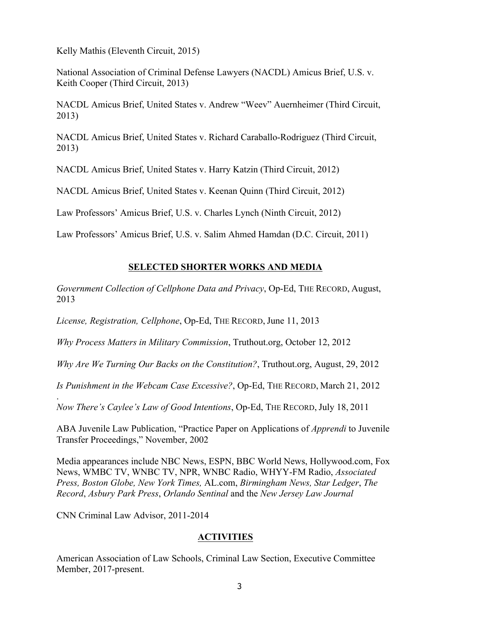Kelly Mathis (Eleventh Circuit, 2015)

National Association of Criminal Defense Lawyers (NACDL) Amicus Brief, U.S. v. Keith Cooper (Third Circuit, 2013)

NACDL Amicus Brief, United States v. Andrew "Weev" Auernheimer (Third Circuit, 2013)

NACDL Amicus Brief, United States v. Richard Caraballo-Rodriguez (Third Circuit, 2013)

NACDL Amicus Brief, United States v. Harry Katzin (Third Circuit, 2012)

NACDL Amicus Brief, United States v. Keenan Quinn (Third Circuit, 2012)

Law Professors' Amicus Brief, U.S. v. Charles Lynch (Ninth Circuit, 2012)

Law Professors' Amicus Brief, U.S. v. Salim Ahmed Hamdan (D.C. Circuit, 2011)

# **SELECTED SHORTER WORKS AND MEDIA**

*Government Collection of Cellphone Data and Privacy*, Op-Ed, THE RECORD, August, 2013

*License, Registration, Cellphone*, Op-Ed, THE RECORD, June 11, 2013

*Why Process Matters in Military Commission*, Truthout.org, October 12, 2012

*Why Are We Turning Our Backs on the Constitution?*, Truthout.org, August, 29, 2012

*Is Punishment in the Webcam Case Excessive?*, Op-Ed, THE RECORD, March 21, 2012

. *Now There's Caylee's Law of Good Intentions*, Op-Ed, THE RECORD, July 18, 2011

ABA Juvenile Law Publication, "Practice Paper on Applications of *Apprendi* to Juvenile Transfer Proceedings," November, 2002

Media appearances include NBC News, ESPN, BBC World News, Hollywood.com, Fox News, WMBC TV, WNBC TV, NPR, WNBC Radio, WHYY-FM Radio, *Associated Press, Boston Globe, New York Times,* AL.com, *Birmingham News, Star Ledger*, *The Record*, *Asbury Park Press*, *Orlando Sentinal* and the *New Jersey Law Journal*

CNN Criminal Law Advisor, 2011-2014

# **ACTIVITIES**

American Association of Law Schools, Criminal Law Section, Executive Committee Member, 2017-present.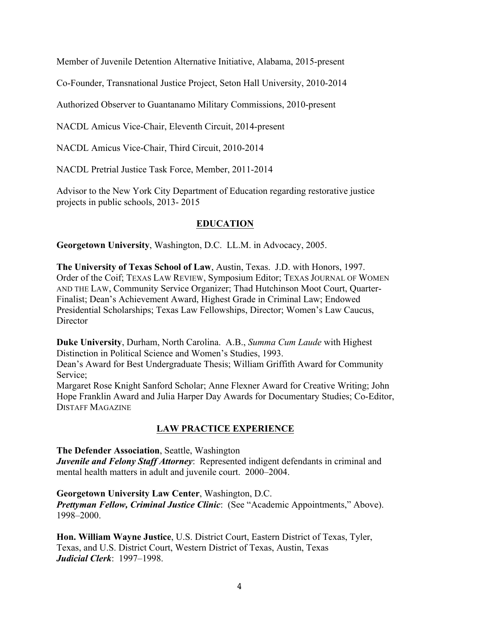Member of Juvenile Detention Alternative Initiative, Alabama, 2015-present

Co-Founder, Transnational Justice Project, Seton Hall University, 2010-2014

Authorized Observer to Guantanamo Military Commissions, 2010-present

NACDL Amicus Vice-Chair, Eleventh Circuit, 2014-present

NACDL Amicus Vice-Chair, Third Circuit, 2010-2014

NACDL Pretrial Justice Task Force, Member, 2011-2014

Advisor to the New York City Department of Education regarding restorative justice projects in public schools, 2013- 2015

# **EDUCATION**

**Georgetown University**, Washington, D.C. LL.M. in Advocacy, 2005.

**The University of Texas School of Law**, Austin, Texas. J.D. with Honors, 1997. Order of the Coif; TEXAS LAW REVIEW, Symposium Editor; TEXAS JOURNAL OF WOMEN AND THE LAW, Community Service Organizer; Thad Hutchinson Moot Court, Quarter-Finalist; Dean's Achievement Award, Highest Grade in Criminal Law; Endowed Presidential Scholarships; Texas Law Fellowships, Director; Women's Law Caucus, **Director** 

**Duke University**, Durham, North Carolina. A.B., *Summa Cum Laude* with Highest Distinction in Political Science and Women's Studies, 1993.

Dean's Award for Best Undergraduate Thesis; William Griffith Award for Community Service;

Margaret Rose Knight Sanford Scholar; Anne Flexner Award for Creative Writing; John Hope Franklin Award and Julia Harper Day Awards for Documentary Studies; Co-Editor, DISTAFF MAGAZINE

# **LAW PRACTICE EXPERIENCE**

**The Defender Association**, Seattle, Washington

*Juvenile and Felony Staff Attorney*: Represented indigent defendants in criminal and mental health matters in adult and juvenile court. 2000–2004.

## **Georgetown University Law Center**, Washington, D.C.

*Prettyman Fellow, Criminal Justice Clinic*: (See "Academic Appointments," Above). 1998–2000.

**Hon. William Wayne Justice**, U.S. District Court, Eastern District of Texas, Tyler, Texas, and U.S. District Court, Western District of Texas, Austin, Texas *Judicial Clerk*: 1997–1998.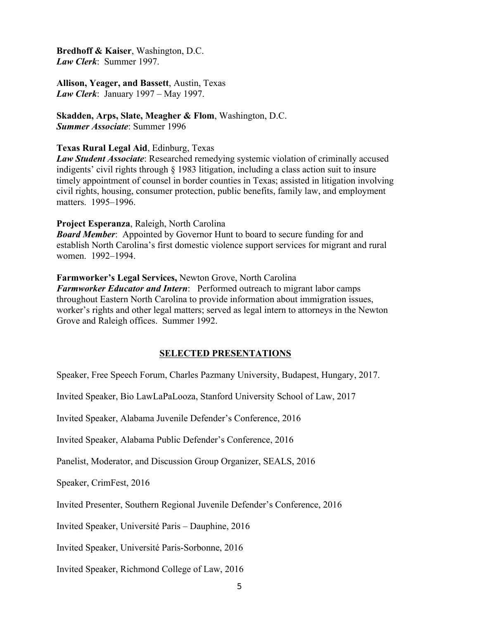**Bredhoff & Kaiser**, Washington, D.C. *Law Clerk*: Summer 1997.

**Allison, Yeager, and Bassett**, Austin, Texas *Law Clerk*: January 1997 – May 1997.

**Skadden, Arps, Slate, Meagher & Flom**, Washington, D.C. *Summer Associate*: Summer 1996

#### **Texas Rural Legal Aid**, Edinburg, Texas

*Law Student Associate*: Researched remedying systemic violation of criminally accused indigents' civil rights through § 1983 litigation, including a class action suit to insure timely appointment of counsel in border counties in Texas; assisted in litigation involving civil rights, housing, consumer protection, public benefits, family law, and employment matters. 1995–1996.

#### **Project Esperanza**, Raleigh, North Carolina

*Board Member*: Appointed by Governor Hunt to board to secure funding for and establish North Carolina's first domestic violence support services for migrant and rural women. 1992–1994.

## **Farmworker's Legal Services,** Newton Grove, North Carolina

*Farmworker Educator and Intern*: Performed outreach to migrant labor camps throughout Eastern North Carolina to provide information about immigration issues, worker's rights and other legal matters; served as legal intern to attorneys in the Newton Grove and Raleigh offices. Summer 1992.

## **SELECTED PRESENTATIONS**

Speaker, Free Speech Forum, Charles Pazmany University, Budapest, Hungary, 2017.

Invited Speaker, Bio LawLaPaLooza, Stanford University School of Law, 2017

Invited Speaker, Alabama Juvenile Defender's Conference, 2016

Invited Speaker, Alabama Public Defender's Conference, 2016

Panelist, Moderator, and Discussion Group Organizer, SEALS, 2016

Speaker, CrimFest, 2016

Invited Presenter, Southern Regional Juvenile Defender's Conference, 2016

Invited Speaker, Université Paris – Dauphine, 2016

Invited Speaker, Université Paris-Sorbonne, 2016

Invited Speaker, Richmond College of Law, 2016